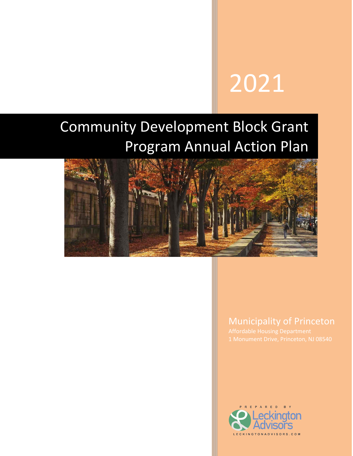# 2021

## Community Development Block Grant Program Annual Action Plan



#### Municipality of Princeton

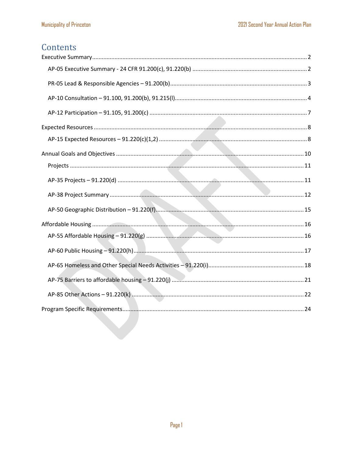#### Contents

<span id="page-1-0"></span>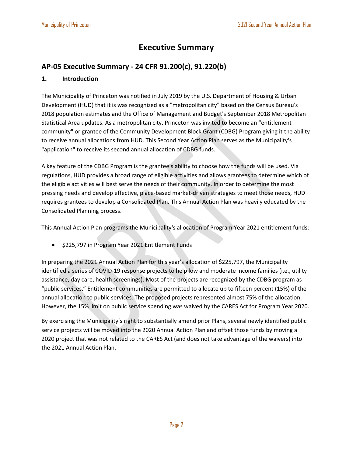#### **Executive Summary**

#### <span id="page-2-0"></span>**AP-05 Executive Summary - 24 CFR 91.200(c), 91.220(b)**

#### **1. Introduction**

The Municipality of Princeton was notified in July 2019 by the U.S. Department of Housing & Urban Development (HUD) that it is was recognized as a "metropolitan city" based on the Census Bureau's 2018 population estimates and the Office of Management and Budget's September 2018 Metropolitan Statistical Area updates. As a metropolitan city, Princeton was invited to become an "entitlement community" or grantee of the Community Development Block Grant (CDBG) Program giving it the ability to receive annual allocations from HUD. This Second Year Action Plan serves as the Municipality's "application" to receive its second annual allocation of CDBG funds.

A key feature of the CDBG Program is the grantee's ability to choose how the funds will be used. Via regulations, HUD provides a broad range of eligible activities and allows grantees to determine which of the eligible activities will best serve the needs of their community. In order to determine the most pressing needs and develop effective, place-based market-driven strategies to meet those needs, HUD requires grantees to develop a Consolidated Plan. This Annual Action Plan was heavily educated by the Consolidated Planning process.

This Annual Action Plan programs the Municipality's allocation of Program Year 2021 entitlement funds:

• \$225,797 in Program Year 2021 Entitlement Funds

In preparing the 2021 Annual Action Plan for this year's allocation of \$225,797, the Municipality identified a series of COVID-19 response projects to help low and moderate income families (i.e., utility assistance, day care, health screenings). Most of the projects are recognized by the CDBG program as "public services." Entitlement communities are permitted to allocate up to fifteen percent (15%) of the annual allocation to public services. The proposed projects represented almost 75% of the allocation. However, the 15% limit on public service spending was waived by the CARES Act for Program Year 2020.

By exercising the Municipality's right to substantially amend prior Plans, several newly identified public service projects will be moved into the 2020 Annual Action Plan and offset those funds by moving a 2020 project that was not related to the CARES Act (and does not take advantage of the waivers) into the 2021 Annual Action Plan.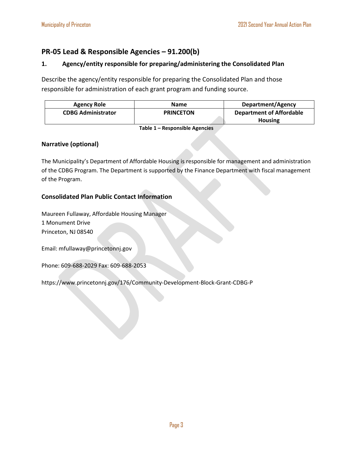#### <span id="page-3-0"></span>**PR-05 Lead & Responsible Agencies – 91.200(b)**

#### **1. Agency/entity responsible for preparing/administering the Consolidated Plan**

Describe the agency/entity responsible for preparing the Consolidated Plan and those responsible for administration of each grant program and funding source.

| Agency Role               | <b>Name</b>      | Department/Agency               |
|---------------------------|------------------|---------------------------------|
| <b>CDBG Administrator</b> | <b>PRINCETON</b> | <b>Department of Affordable</b> |
|                           |                  | <b>Housing</b>                  |

**Table 1 – Responsible Agencies**

#### **Narrative (optional)**

The Municipality's Department of Affordable Housing is responsible for management and administration of the CDBG Program. The Department is supported by the Finance Department with fiscal management of the Program.

#### **Consolidated Plan Public Contact Information**

Maureen Fullaway, Affordable Housing Manager 1 Monument Drive Princeton, NJ 08540

Email: mfullaway@princetonnj.gov

Phone: 609-688-2029 Fax: 609-688-2053

https://www.princetonnj.gov/176/Community-Development-Block-Grant-CDBG-P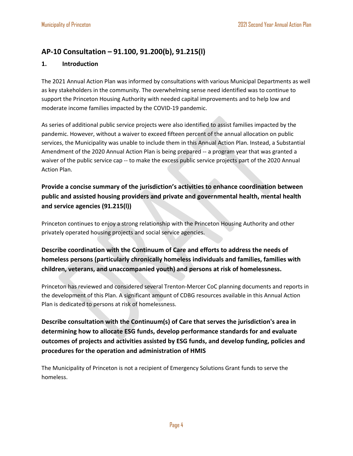#### <span id="page-4-0"></span>**AP-10 Consultation – 91.100, 91.200(b), 91.215(l)**

#### **1. Introduction**

The 2021 Annual Action Plan was informed by consultations with various Municipal Departments as well as key stakeholders in the community. The overwhelming sense need identified was to continue to support the Princeton Housing Authority with needed capital improvements and to help low and moderate income families impacted by the COVID-19 pandemic.

As series of additional public service projects were also identified to assist families impacted by the pandemic. However, without a waiver to exceed fifteen percent of the annual allocation on public services, the Municipality was unable to include them in this Annual Action Plan. Instead, a Substantial Amendment of the 2020 Annual Action Plan is being prepared -- a program year that was granted a waiver of the public service cap -- to make the excess public service projects part of the 2020 Annual Action Plan.

**Provide a concise summary of the jurisdiction's activities to enhance coordination between public and assisted housing providers and private and governmental health, mental health and service agencies (91.215(l))**

Princeton continues to enjoy a strong relationship with the Princeton Housing Authority and other privately operated housing projects and social service agencies.

#### **Describe coordination with the Continuum of Care and efforts to address the needs of homeless persons (particularly chronically homeless individuals and families, families with children, veterans, and unaccompanied youth) and persons at risk of homelessness.**

Princeton has reviewed and considered several Trenton-Mercer CoC planning documents and reports in the development of this Plan. A significant amount of CDBG resources available in this Annual Action Plan is dedicated to persons at risk of homelessness.

**Describe consultation with the Continuum(s) of Care that serves the jurisdiction's area in determining how to allocate ESG funds, develop performance standards for and evaluate outcomes of projects and activities assisted by ESG funds, and develop funding, policies and procedures for the operation and administration of HMIS**

The Municipality of Princeton is not a recipient of Emergency Solutions Grant funds to serve the homeless.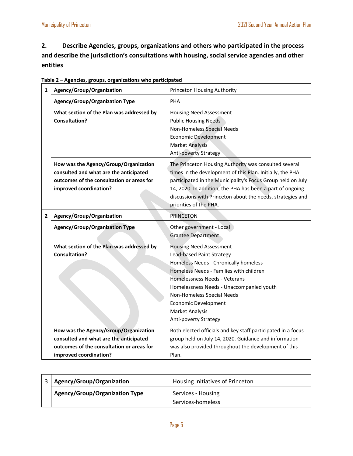**2. Describe Agencies, groups, organizations and others who participated in the process and describe the jurisdiction's consultations with housing, social service agencies and other entities**

| $\mathbf{1}$ | Agency/Group/Organization                                                                                                                              | <b>Princeton Housing Authority</b>                                                                                                                                                                                                                                                                                                     |  |  |
|--------------|--------------------------------------------------------------------------------------------------------------------------------------------------------|----------------------------------------------------------------------------------------------------------------------------------------------------------------------------------------------------------------------------------------------------------------------------------------------------------------------------------------|--|--|
|              | <b>Agency/Group/Organization Type</b>                                                                                                                  | <b>PHA</b>                                                                                                                                                                                                                                                                                                                             |  |  |
|              | What section of the Plan was addressed by<br>Consultation?                                                                                             | <b>Housing Need Assessment</b><br><b>Public Housing Needs</b><br>Non-Homeless Special Needs<br><b>Economic Development</b><br><b>Market Analysis</b><br>Anti-poverty Strategy                                                                                                                                                          |  |  |
|              | How was the Agency/Group/Organization<br>consulted and what are the anticipated<br>outcomes of the consultation or areas for<br>improved coordination? | The Princeton Housing Authority was consulted several<br>times in the development of this Plan. Initially, the PHA<br>participated in the Municipality's Focus Group held on July<br>14, 2020. In addition, the PHA has been a part of ongoing<br>discussions with Princeton about the needs, strategies and<br>priorities of the PHA. |  |  |
| $\mathbf{2}$ | Agency/Group/Organization                                                                                                                              | <b>PRINCETON</b>                                                                                                                                                                                                                                                                                                                       |  |  |
|              | <b>Agency/Group/Organization Type</b>                                                                                                                  | Other government - Local<br><b>Grantee Department</b>                                                                                                                                                                                                                                                                                  |  |  |
|              | What section of the Plan was addressed by<br><b>Consultation?</b>                                                                                      | <b>Housing Need Assessment</b><br>Lead-based Paint Strategy<br>Homeless Needs - Chronically homeless<br>Homeless Needs - Families with children<br>Homelessness Needs - Veterans<br>Homelessness Needs - Unaccompanied youth<br>Non-Homeless Special Needs<br><b>Economic Development</b><br>Market Analysis<br>Anti-poverty Strategy  |  |  |
|              | How was the Agency/Group/Organization<br>consulted and what are the anticipated<br>outcomes of the consultation or areas for<br>improved coordination? | Both elected officials and key staff participated in a focus<br>group held on July 14, 2020. Guidance and information<br>was also provided throughout the development of this<br>Plan.                                                                                                                                                 |  |  |

| Table 2 - Agencies, groups, organizations who participated |  |  |
|------------------------------------------------------------|--|--|
|                                                            |  |  |

| Agency/Group/Organization             | Housing Initiatives of Princeton |
|---------------------------------------|----------------------------------|
| <b>Agency/Group/Organization Type</b> | Services - Housing               |
|                                       | Services-homeless                |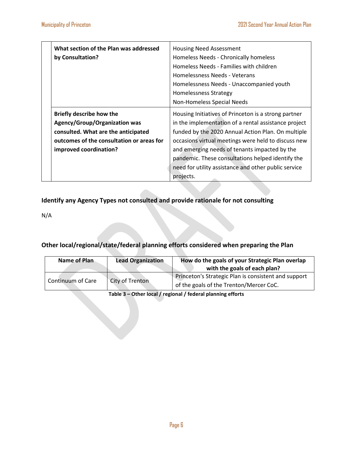#### **Identify any Agency Types not consulted and provide rationale for not consulting**

N/A

#### **Other local/regional/state/federal planning efforts considered when preparing the Plan**

| <b>Name of Plan</b> | <b>Lead Organization</b> | How do the goals of your Strategic Plan overlap<br>with the goals of each plan?                 |
|---------------------|--------------------------|-------------------------------------------------------------------------------------------------|
| Continuum of Care   | City of Trenton          | Princeton's Strategic Plan is consistent and support<br>of the goals of the Trenton/Mercer CoC. |

**Table 3 – Other local / regional / federal planning efforts**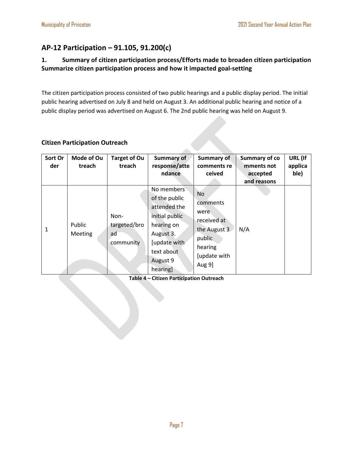#### <span id="page-7-0"></span>**AP-12 Participation – 91.105, 91.200(c)**

#### **1. Summary of citizen participation process/Efforts made to broaden citizen participation Summarize citizen participation process and how it impacted goal-setting**

The citizen participation process consisted of two public hearings and a public display period. The initial public hearing advertised on July 8 and held on August 3. An additional public hearing and notice of a public display period was advertised on August 6. The 2nd public hearing was held on August 9.

#### **Citizen Participation Outreach**

| Sort Or<br>der | Mode of Ou<br>treach | <b>Target of Ou</b><br>treach           | <b>Summary of</b><br>response/atte<br>ndance                                                                                                   | <b>Summary of</b><br>comments re<br>ceived                                                           | <b>Summary of co</b><br>mments not<br>accepted<br>and reasons | URL (If<br>applica<br>ble) |
|----------------|----------------------|-----------------------------------------|------------------------------------------------------------------------------------------------------------------------------------------------|------------------------------------------------------------------------------------------------------|---------------------------------------------------------------|----------------------------|
| 1              | Public<br>Meeting    | Non-<br>targeted/bro<br>ad<br>community | No members<br>of the public<br>attended the<br>initial public<br>hearing on<br>August 3.<br>[update with<br>text about<br>August 9<br>hearing] | No<br>comments<br>were<br>received at<br>the August 3<br>public<br>hearing<br>[update with<br>Aug 9] | N/A                                                           |                            |

**Table 4 – Citizen Participation Outreach**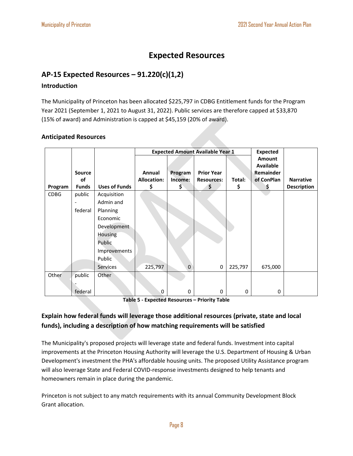#### **Expected Resources**

#### <span id="page-8-1"></span><span id="page-8-0"></span>**AP-15 Expected Resources – 91.220(c)(1,2)**

#### **Introduction**

The Municipality of Princeton has been allocated \$225,797 in CDBG Entitlement funds for the Program Year 2021 (September 1, 2021 to August 31, 2022). Public services are therefore capped at \$33,870 (15% of award) and Administration is capped at \$45,159 (20% of award).

#### **Anticipated Resources**

|             |                          |                      |                    | <b>Expected Amount Available Year 1</b> | <b>Expected</b>   |         |                  |                    |
|-------------|--------------------------|----------------------|--------------------|-----------------------------------------|-------------------|---------|------------------|--------------------|
|             |                          |                      |                    |                                         |                   |         | <b>Amount</b>    |                    |
|             |                          |                      |                    |                                         |                   |         | <b>Available</b> |                    |
|             | Source                   |                      | Annual             | Program                                 | <b>Prior Year</b> |         | Remainder        |                    |
|             | of                       |                      | <b>Allocation:</b> | Income:                                 | <b>Resources:</b> | Total:  | of ConPlan       | <b>Narrative</b>   |
| Program     | <b>Funds</b>             | <b>Uses of Funds</b> | \$                 | Ş                                       | \$                | \$      | Ş                | <b>Description</b> |
| <b>CDBG</b> | public                   | Acquisition          |                    |                                         |                   |         |                  |                    |
|             | $\overline{\phantom{a}}$ | Admin and            |                    |                                         |                   |         |                  |                    |
|             | federal                  | Planning             |                    |                                         |                   |         |                  |                    |
|             |                          | Economic             |                    |                                         |                   |         |                  |                    |
|             |                          | Development          |                    |                                         |                   |         |                  |                    |
|             |                          | <b>Housing</b>       |                    |                                         |                   |         |                  |                    |
|             |                          | Public               |                    |                                         |                   |         |                  |                    |
|             |                          | Improvements         |                    |                                         |                   |         |                  |                    |
|             |                          | Public               |                    |                                         |                   |         |                  |                    |
|             |                          | <b>Services</b>      | 225,797            | $\Omega$                                | 0                 | 225,797 | 675,000          |                    |
| Other       | public                   | Other                |                    |                                         |                   |         |                  |                    |
|             |                          |                      |                    |                                         |                   |         |                  |                    |
|             | federal                  |                      | $\mathbf 0$        | 0                                       | 0                 | 0       | 0                |                    |

**Table 5 - Expected Resources – Priority Table**

#### **Explain how federal funds will leverage those additional resources (private, state and local funds), including a description of how matching requirements will be satisfied**

The Municipality's proposed projects will leverage state and federal funds. Investment into capital improvements at the Princeton Housing Authority will leverage the U.S. Department of Housing & Urban Development's investment the PHA's affordable housing units. The proposed Utility Assistance program will also leverage State and Federal COVID-response investments designed to help tenants and homeowners remain in place during the pandemic.

Princeton is not subject to any match requirements with its annual Community Development Block Grant allocation.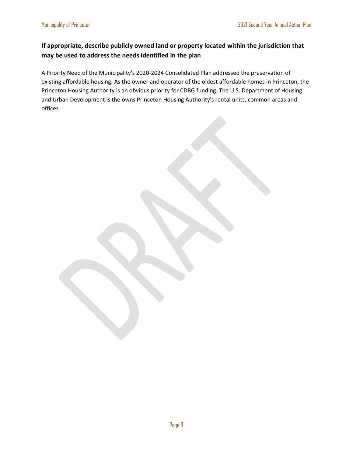#### **If appropriate, describe publicly owned land or property located within the jurisdiction that may be used to address the needs identified in the plan**

A Priority Need of the Municipality's 2020-2024 Consolidated Plan addressed the preservation of existing affordable housing. As the owner and operator of the oldest affordable homes in Princeton, the Princeton Housing Authority is an obvious priority for CDBG funding. The U.S. Department of Housing and Urban Development is the owns Princeton Housing Authority's rental units, common areas and offices.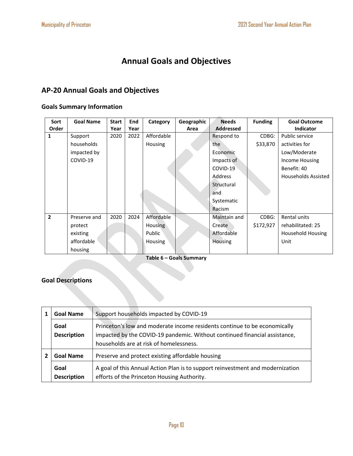### **Annual Goals and Objectives**

#### <span id="page-10-0"></span>**AP-20 Annual Goals and Objectives**

#### **Goals Summary Information**

| Sort           | <b>Goal Name</b> | <b>Start</b> | <b>End</b> | Category       | Geographic | <b>Needs</b>     | <b>Funding</b> | <b>Goal Outcome</b>        |
|----------------|------------------|--------------|------------|----------------|------------|------------------|----------------|----------------------------|
| Order          |                  | Year         | Year       |                | Area       | <b>Addressed</b> |                | <b>Indicator</b>           |
| 1              | Support          | 2020         | 2022       | Affordable     |            | Respond to       | CDBG:          | Public service             |
|                | households       |              |            | Housing        |            | the              | \$33,870       | activities for             |
|                | impacted by      |              |            |                |            | Economic         |                | Low/Moderate               |
|                | COVID-19         |              |            |                |            | Impacts of       |                | Income Housing             |
|                |                  |              |            |                |            | COVID-19         |                | Benefit: 40                |
|                |                  |              |            |                |            | Address          |                | <b>Households Assisted</b> |
|                |                  |              |            |                |            | Structural       |                |                            |
|                |                  |              |            |                |            | and              |                |                            |
|                |                  |              |            |                |            | Systematic       |                |                            |
|                |                  |              |            |                |            | Racism           |                |                            |
| $\overline{2}$ | Preserve and     | 2020         | 2024       | Affordable     |            | Maintain and     | CDBG:          | Rental units               |
|                | protect          |              |            | Housing        |            | Create           | \$172,927      | rehabilitated: 25          |
|                | existing         |              |            | Public         |            | Affordable       |                | <b>Household Housing</b>   |
|                | affordable       |              |            | <b>Housing</b> |            | Housing          |                | Unit                       |
|                | housing          |              |            |                |            |                  |                |                            |

**Table 6 – Goals Summary**

#### **Goal Descriptions**

| <b>Goal Name</b>           | Support households impacted by COVID-19                                                                                                                                                            |
|----------------------------|----------------------------------------------------------------------------------------------------------------------------------------------------------------------------------------------------|
| Goal<br><b>Description</b> | Princeton's low and moderate income residents continue to be economically<br>impacted by the COVID-19 pandemic. Without continued financial assistance,<br>households are at risk of homelessness. |
| <b>Goal Name</b>           | Preserve and protect existing affordable housing                                                                                                                                                   |
| Goal<br><b>Description</b> | A goal of this Annual Action Plan is to support reinvestment and modernization<br>efforts of the Princeton Housing Authority.                                                                      |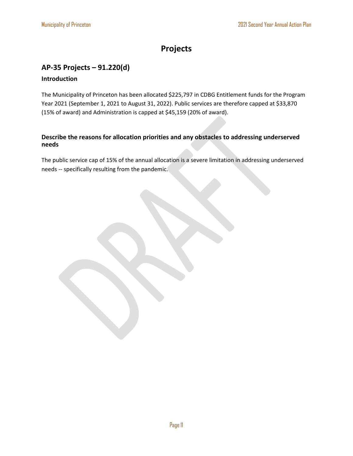#### **Projects**

#### <span id="page-11-1"></span><span id="page-11-0"></span>**AP-35 Projects – 91.220(d)**

#### **Introduction**

The Municipality of Princeton has been allocated \$225,797 in CDBG Entitlement funds for the Program Year 2021 (September 1, 2021 to August 31, 2022). Public services are therefore capped at \$33,870 (15% of award) and Administration is capped at \$45,159 (20% of award).

#### **Describe the reasons for allocation priorities and any obstacles to addressing underserved needs**

The public service cap of 15% of the annual allocation is a severe limitation in addressing underserved needs -- specifically resulting from the pandemic.

Page 11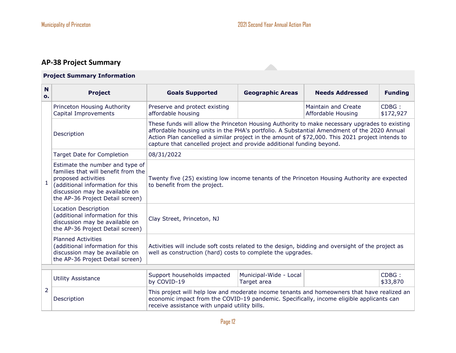#### **AP-38 Project Summary**

#### **Project Summary Information**

<span id="page-12-0"></span>

| $\mathbf N$<br>0. | <b>Project</b>                                                                                                                                                                                          | <b>Goals Supported</b>                                                                                                                                                                                                                                                                                                                                                   | <b>Geographic Areas</b>               | <b>Needs Addressed</b> | <b>Funding</b>    |  |  |  |  |
|-------------------|---------------------------------------------------------------------------------------------------------------------------------------------------------------------------------------------------------|--------------------------------------------------------------------------------------------------------------------------------------------------------------------------------------------------------------------------------------------------------------------------------------------------------------------------------------------------------------------------|---------------------------------------|------------------------|-------------------|--|--|--|--|
|                   | Princeton Housing Authority<br>Capital Improvements                                                                                                                                                     | $CDBG$ :<br>Preserve and protect existing<br>Maintain and Create<br>affordable housing<br>Affordable Housing<br>\$172,927                                                                                                                                                                                                                                                |                                       |                        |                   |  |  |  |  |
|                   | Description                                                                                                                                                                                             | These funds will allow the Princeton Housing Authority to make necessary upgrades to existing<br>affordable housing units in the PHA's portfolio. A Substantial Amendment of the 2020 Annual<br>Action Plan cancelled a similar project in the amount of \$72,000. This 2021 project intends to<br>capture that cancelled project and provide additional funding beyond. |                                       |                        |                   |  |  |  |  |
|                   | <b>Target Date for Completion</b>                                                                                                                                                                       | 08/31/2022                                                                                                                                                                                                                                                                                                                                                               |                                       |                        |                   |  |  |  |  |
| $\mathbf{1}$      | Estimate the number and type of<br>families that will benefit from the<br>proposed activities<br>(additional information for this<br>discussion may be available on<br>the AP-36 Project Detail screen) | Twenty five (25) existing low income tenants of the Princeton Housing Authority are expected<br>to benefit from the project.                                                                                                                                                                                                                                             |                                       |                        |                   |  |  |  |  |
|                   | Location Description<br>(additional information for this<br>discussion may be available on<br>the AP-36 Project Detail screen)                                                                          | Clay Street, Princeton, NJ                                                                                                                                                                                                                                                                                                                                               |                                       |                        |                   |  |  |  |  |
|                   | <b>Planned Activities</b><br>(additional information for this<br>discussion may be available on<br>the AP-36 Project Detail screen)                                                                     | Activities will include soft costs related to the design, bidding and oversight of the project as<br>well as construction (hard) costs to complete the upgrades.                                                                                                                                                                                                         |                                       |                        |                   |  |  |  |  |
|                   |                                                                                                                                                                                                         |                                                                                                                                                                                                                                                                                                                                                                          |                                       |                        |                   |  |  |  |  |
|                   | <b>Utility Assistance</b>                                                                                                                                                                               | Support households impacted<br>by COVID-19                                                                                                                                                                                                                                                                                                                               | Municipal-Wide - Local<br>Target area |                        | CDBG:<br>\$33,870 |  |  |  |  |
| 2                 | Description                                                                                                                                                                                             | This project will help low and moderate income tenants and homeowners that have realized an<br>economic impact from the COVID-19 pandemic. Specifically, income eligible applicants can<br>receive assistance with unpaid utility bills.                                                                                                                                 |                                       |                        |                   |  |  |  |  |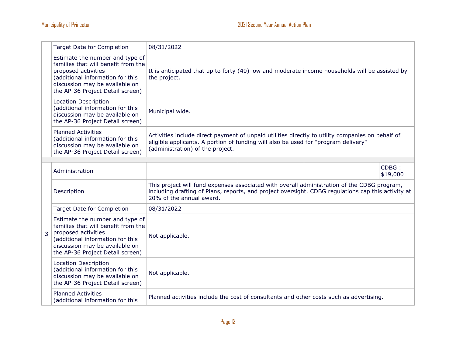|                | <b>Target Date for Completion</b>                                                                                                                                                                       | 08/31/2022                                                                                                                                                                                                                    |  |  |                   |
|----------------|---------------------------------------------------------------------------------------------------------------------------------------------------------------------------------------------------------|-------------------------------------------------------------------------------------------------------------------------------------------------------------------------------------------------------------------------------|--|--|-------------------|
|                | Estimate the number and type of<br>families that will benefit from the<br>proposed activities<br>(additional information for this<br>discussion may be available on<br>the AP-36 Project Detail screen) | It is anticipated that up to forty (40) low and moderate income households will be assisted by<br>the project.                                                                                                                |  |  |                   |
|                | <b>Location Description</b><br>(additional information for this<br>discussion may be available on<br>the AP-36 Project Detail screen)                                                                   | Municipal wide.                                                                                                                                                                                                               |  |  |                   |
|                | <b>Planned Activities</b><br>(additional information for this<br>discussion may be available on<br>the AP-36 Project Detail screen)                                                                     | Activities include direct payment of unpaid utilities directly to utility companies on behalf of<br>eligible applicants. A portion of funding will also be used for "program delivery"<br>(administration) of the project.    |  |  |                   |
|                |                                                                                                                                                                                                         |                                                                                                                                                                                                                               |  |  |                   |
| $\overline{3}$ | Administration                                                                                                                                                                                          |                                                                                                                                                                                                                               |  |  | CDBG:<br>\$19,000 |
|                | Description                                                                                                                                                                                             | This project will fund expenses associated with overall administration of the CDBG program,<br>including drafting of Plans, reports, and project oversight. CDBG regulations cap this activity at<br>20% of the annual award. |  |  |                   |
|                | <b>Target Date for Completion</b>                                                                                                                                                                       | 08/31/2022                                                                                                                                                                                                                    |  |  |                   |
|                | Estimate the number and type of<br>families that will benefit from the<br>proposed activities<br>(additional information for this<br>discussion may be available on<br>the AP-36 Project Detail screen) | Not applicable.                                                                                                                                                                                                               |  |  |                   |
|                | Location Description<br>(additional information for this<br>discussion may be available on<br>the AP-36 Project Detail screen)                                                                          | Not applicable.                                                                                                                                                                                                               |  |  |                   |
|                | <b>Planned Activities</b><br>(additional information for this                                                                                                                                           | Planned activities include the cost of consultants and other costs such as advertising.                                                                                                                                       |  |  |                   |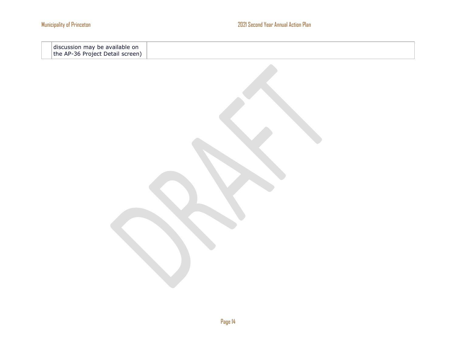discussion may be available on the AP-36 Project Detail screen)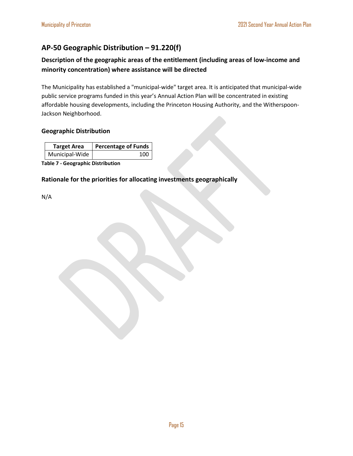#### <span id="page-15-0"></span>**AP-50 Geographic Distribution – 91.220(f)**

#### **Description of the geographic areas of the entitlement (including areas of low-income and minority concentration) where assistance will be directed**

The Municipality has established a "municipal-wide" target area. It is anticipated that municipal-wide public service programs funded in this year's Annual Action Plan will be concentrated in existing affordable housing developments, including the Princeton Housing Authority, and the Witherspoon-Jackson Neighborhood.

#### **Geographic Distribution**

| <b>Target Area</b> | <b>Percentage of Funds</b> |  |
|--------------------|----------------------------|--|
| Municipal-Wide     | 100                        |  |

**Table 7 - Geographic Distribution** 

#### **Rationale for the priorities for allocating investments geographically**

N/A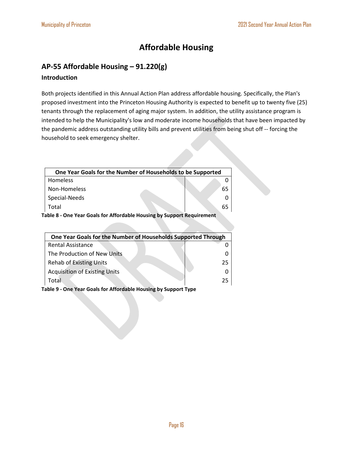#### **Affordable Housing**

#### <span id="page-16-1"></span><span id="page-16-0"></span>**AP-55 Affordable Housing – 91.220(g)**

#### **Introduction**

Both projects identified in this Annual Action Plan address affordable housing. Specifically, the Plan's proposed investment into the Princeton Housing Authority is expected to benefit up to twenty five (25) tenants through the replacement of aging major system. In addition, the utility assistance program is intended to help the Municipality's low and moderate income households that have been impacted by the pandemic address outstanding utility bills and prevent utilities from being shut off -- forcing the household to seek emergency shelter.

| One Year Goals for the Number of Households to be Supported           |    |  |  |
|-----------------------------------------------------------------------|----|--|--|
| Homeless                                                              |    |  |  |
| Non-Homeless                                                          | 65 |  |  |
| Special-Needs                                                         |    |  |  |
| Total                                                                 | 65 |  |  |
| 'alda 0 - Ona Vaar Caale far Affardalda Hausika ku Cubnart Damuramant |    |  |  |

**Table 8 - One Year Goals for Affordable Housing by Support Requirement**

| One Year Goals for the Number of Households Supported Through |    |  |
|---------------------------------------------------------------|----|--|
| <b>Rental Assistance</b>                                      |    |  |
| The Production of New Units                                   |    |  |
| <b>Rehab of Existing Units</b>                                | 25 |  |
| <b>Acquisition of Existing Units</b>                          |    |  |
| Total                                                         | 25 |  |

**Table 9 - One Year Goals for Affordable Housing by Support Type**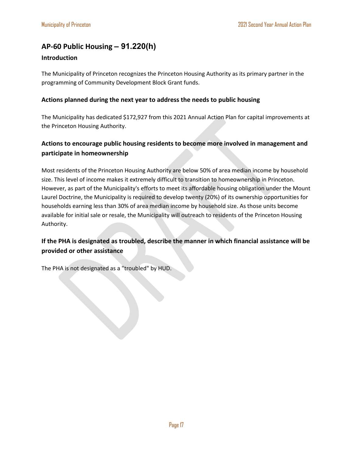#### <span id="page-17-0"></span>**AP-60 Public Housing** *–* **91.220(h)**

#### **Introduction**

The Municipality of Princeton recognizes the Princeton Housing Authority as its primary partner in the programming of Community Development Block Grant funds.

#### **Actions planned during the next year to address the needs to public housing**

The Municipality has dedicated \$172,927 from this 2021 Annual Action Plan for capital improvements at the Princeton Housing Authority.

#### **Actions to encourage public housing residents to become more involved in management and participate in homeownership**

Most residents of the Princeton Housing Authority are below 50% of area median income by household size. This level of income makes it extremely difficult to transition to homeownership in Princeton. However, as part of the Municipality's efforts to meet its affordable housing obligation under the Mount Laurel Doctrine, the Municipality is required to develop twenty (20%) of its ownership opportunities for households earning less than 30% of area median income by household size. As those units become available for initial sale or resale, the Municipality will outreach to residents of the Princeton Housing Authority.

#### **If the PHA is designated as troubled, describe the manner in which financial assistance will be provided or other assistance**

The PHA is not designated as a "troubled" by HUD.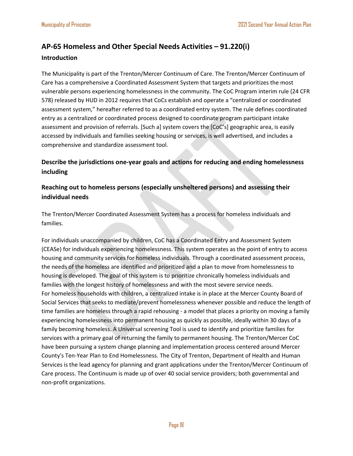#### <span id="page-18-0"></span>**AP-65 Homeless and Other Special Needs Activities – 91.220(i)**

#### **Introduction**

The Municipality is part of the Trenton/Mercer Continuum of Care. The Trenton/Mercer Continuum of Care has a comprehensive a Coordinated Assessment System that targets and prioritizes the most vulnerable persons experiencing homelessness in the community. The CoC Program interim rule (24 CFR 578) released by HUD in 2012 requires that CoCs establish and operate a "centralized or coordinated assessment system," hereafter referred to as a coordinated entry system. The rule defines coordinated entry as a centralized or coordinated process designed to coordinate program participant intake assessment and provision of referrals. [Such a] system covers the [CoC's] geographic area, is easily accessed by individuals and families seeking housing or services, is well advertised, and includes a comprehensive and standardize assessment tool.

**Describe the jurisdictions one-year goals and actions for reducing and ending homelessness including**

#### **Reaching out to homeless persons (especially unsheltered persons) and assessing their individual needs**

The Trenton/Mercer Coordinated Assessment System has a process for homeless individuals and families.

For individuals unaccompanied by children, CoC has a Coordinated Entry and Assessment System (CEASe) for individuals experiencing homelessness. This system operates as the point of entry to access housing and community services for homeless individuals. Through a coordinated assessment process, the needs of the homeless are identified and prioritized and a plan to move from homelessness to housing is developed. The goal of this system is to prioritize chronically homeless individuals and families with the longest history of homelessness and with the most severe service needs. For homeless households with children, a centralized intake is in place at the Mercer County Board of Social Services that seeks to mediate/prevent homelessness whenever possible and reduce the length of time families are homeless through a rapid rehousing - a model that places a priority on moving a family experiencing homelessness into permanent housing as quickly as possible, ideally within 30 days of a family becoming homeless. A Universal screening Tool is used to identify and prioritize families for services with a primary goal of returning the family to permanent housing. The Trenton/Mercer CoC have been pursuing a system change planning and implementation process centered around Mercer County's Ten-Year Plan to End Homelessness. The City of Trenton, Department of Health and Human Services is the lead agency for planning and grant applications under the Trenton/Mercer Continuum of Care process. The Continuum is made up of over 40 social service providers; both governmental and non-profit organizations.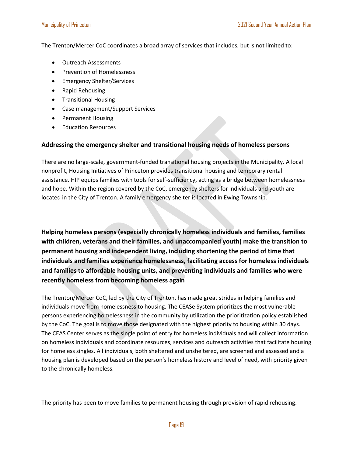The Trenton/Mercer CoC coordinates a broad array of services that includes, but is not limited to:

- Outreach Assessments
- Prevention of Homelessness
- Emergency Shelter/Services
- Rapid Rehousing
- Transitional Housing
- Case management/Support Services
- Permanent Housing
- Education Resources

#### **Addressing the emergency shelter and transitional housing needs of homeless persons**

There are no large-scale, government-funded transitional housing projects in the Municipality. A local nonprofit, Housing Initiatives of Princeton provides transitional housing and temporary rental assistance. HIP equips families with tools for self-sufficiency, acting as a bridge between homelessness and hope. Within the region covered by the CoC, emergency shelters for individuals and youth are located in the City of Trenton. A family emergency shelter is located in Ewing Township.

**Helping homeless persons (especially chronically homeless individuals and families, families with children, veterans and their families, and unaccompanied youth) make the transition to permanent housing and independent living, including shortening the period of time that individuals and families experience homelessness, facilitating access for homeless individuals and families to affordable housing units, and preventing individuals and families who were recently homeless from becoming homeless again**

The Trenton/Mercer CoC, led by the City of Trenton, has made great strides in helping families and individuals move from homelessness to housing. The CEASe System prioritizes the most vulnerable persons experiencing homelessness in the community by utilization the prioritization policy established by the CoC. The goal is to move those designated with the highest priority to housing within 30 days. The CEAS Center serves as the single point of entry for homeless individuals and will collect information on homeless individuals and coordinate resources, services and outreach activities that facilitate housing for homeless singles. All individuals, both sheltered and unsheltered, are screened and assessed and a housing plan is developed based on the person's homeless history and level of need, with priority given to the chronically homeless.

The priority has been to move families to permanent housing through provision of rapid rehousing.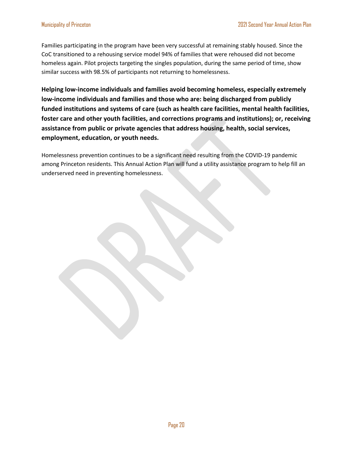Families participating in the program have been very successful at remaining stably housed. Since the CoC transitioned to a rehousing service model 94% of families that were rehoused did not become homeless again. Pilot projects targeting the singles population, during the same period of time, show similar success with 98.5% of participants not returning to homelessness.

**Helping low-income individuals and families avoid becoming homeless, especially extremely low-income individuals and families and those who are: being discharged from publicly funded institutions and systems of care (such as health care facilities, mental health facilities, foster care and other youth facilities, and corrections programs and institutions); or, receiving assistance from public or private agencies that address housing, health, social services, employment, education, or youth needs.**

Homelessness prevention continues to be a significant need resulting from the COVID-19 pandemic among Princeton residents. This Annual Action Plan will fund a utility assistance program to help fill an underserved need in preventing homelessness.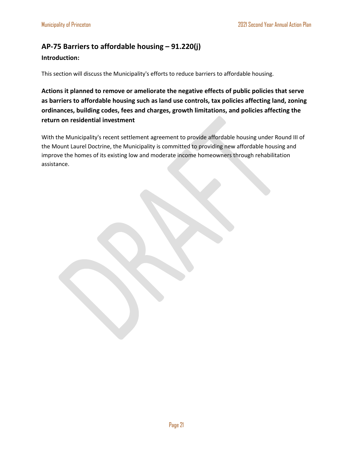#### <span id="page-21-0"></span>**AP-75 Barriers to affordable housing – 91.220(j)**

#### **Introduction:**

This section will discuss the Municipality's efforts to reduce barriers to affordable housing.

**Actions it planned to remove or ameliorate the negative effects of public policies that serve as barriers to affordable housing such as land use controls, tax policies affecting land, zoning ordinances, building codes, fees and charges, growth limitations, and policies affecting the return on residential investment**

With the Municipality's recent settlement agreement to provide affordable housing under Round III of the Mount Laurel Doctrine, the Municipality is committed to providing new affordable housing and improve the homes of its existing low and moderate income homeowners through rehabilitation assistance.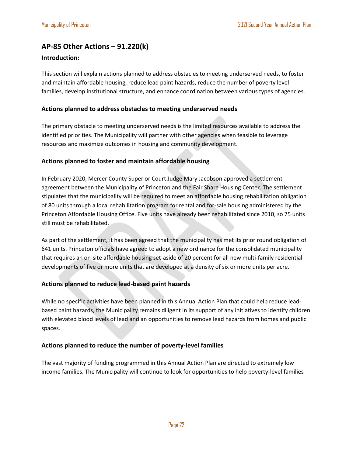#### <span id="page-22-0"></span>**AP-85 Other Actions – 91.220(k)**

#### **Introduction:**

This section will explain actions planned to address obstacles to meeting underserved needs, to foster and maintain affordable housing, reduce lead paint hazards, reduce the number of poverty level families, develop institutional structure, and enhance coordination between various types of agencies.

#### **Actions planned to address obstacles to meeting underserved needs**

The primary obstacle to meeting underserved needs is the limited resources available to address the identified priorities. The Municipality will partner with other agencies when feasible to leverage resources and maximize outcomes in housing and community development.

#### **Actions planned to foster and maintain affordable housing**

In February 2020, Mercer County Superior Court Judge Mary Jacobson approved a settlement agreement between the Municipality of Princeton and the Fair Share Housing Center. The settlement stipulates that the municipality will be required to meet an affordable housing rehabilitation obligation of 80 units through a local rehabilitation program for rental and for-sale housing administered by the Princeton Affordable Housing Office. Five units have already been rehabilitated since 2010, so 75 units still must be rehabilitated.

As part of the settlement, it has been agreed that the municipality has met its prior round obligation of 641 units. Princeton officials have agreed to adopt a new ordinance for the consolidated municipality that requires an on-site affordable housing set-aside of 20 percent for all new multi-family residential developments of five or more units that are developed at a density of six or more units per acre.

#### **Actions planned to reduce lead-based paint hazards**

While no specific activities have been planned in this Annual Action Plan that could help reduce leadbased paint hazards, the Municipality remains diligent in its support of any initiatives to identify children with elevated blood levels of lead and an opportunities to remove lead hazards from homes and public spaces.

#### **Actions planned to reduce the number of poverty-level families**

The vast majority of funding programmed in this Annual Action Plan are directed to extremely low income families. The Municipality will continue to look for opportunities to help poverty-level families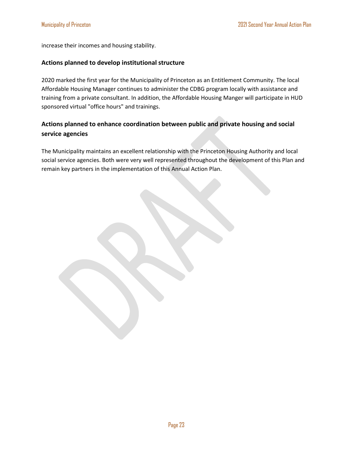increase their incomes and housing stability.

#### **Actions planned to develop institutional structure**

2020 marked the first year for the Municipality of Princeton as an Entitlement Community. The local Affordable Housing Manager continues to administer the CDBG program locally with assistance and training from a private consultant. In addition, the Affordable Housing Manger will participate in HUD sponsored virtual "office hours" and trainings.

#### **Actions planned to enhance coordination between public and private housing and social service agencies**

The Municipality maintains an excellent relationship with the Princeton Housing Authority and local social service agencies. Both were very well represented throughout the development of this Plan and remain key partners in the implementation of this Annual Action Plan.